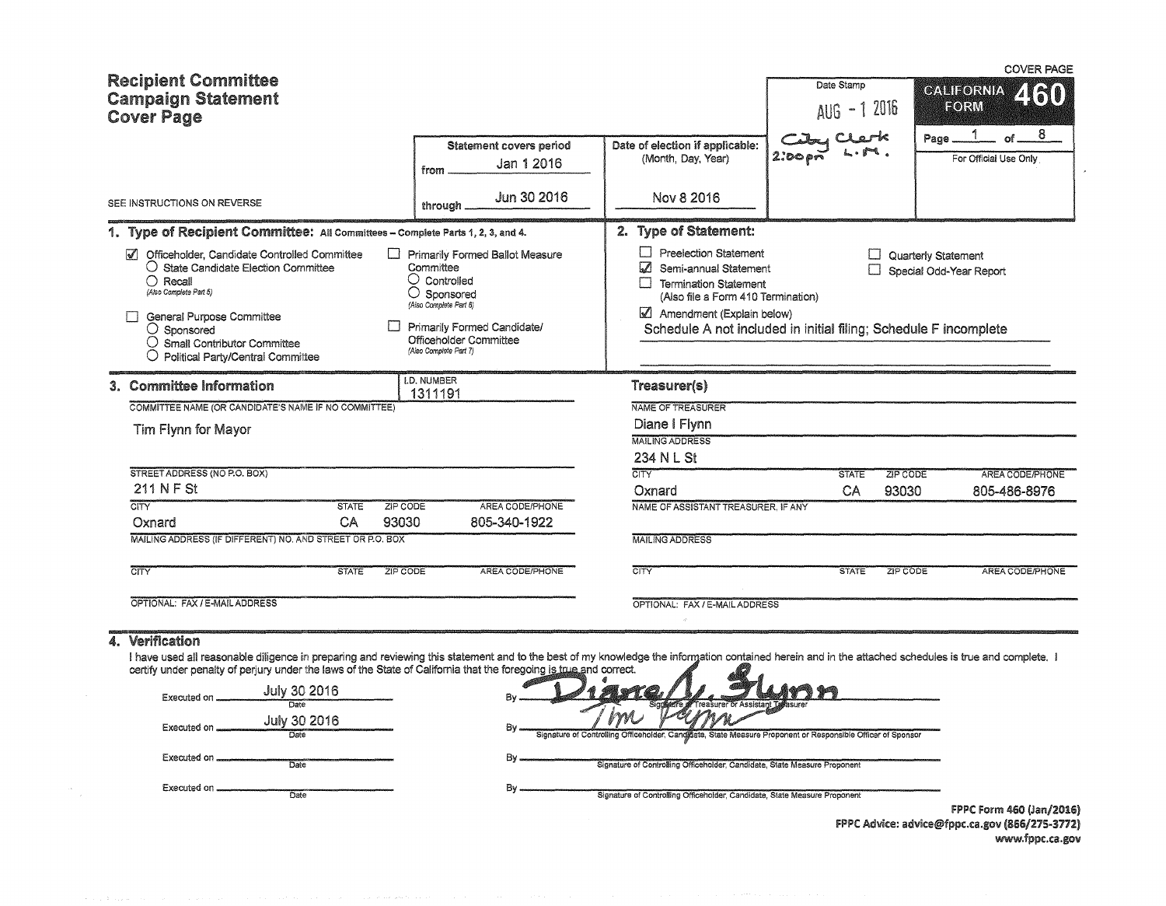|                                                                                                                                                                                                                                                                                                         |                                                                                                                                                                                                        |                                                                                                                                                                                                                                               |                            |                                                          | <b>COVER PAGE</b>                                |
|---------------------------------------------------------------------------------------------------------------------------------------------------------------------------------------------------------------------------------------------------------------------------------------------------------|--------------------------------------------------------------------------------------------------------------------------------------------------------------------------------------------------------|-----------------------------------------------------------------------------------------------------------------------------------------------------------------------------------------------------------------------------------------------|----------------------------|----------------------------------------------------------|--------------------------------------------------|
| <b>Recipient Committee</b><br><b>Campaign Statement</b><br><b>Cover Page</b>                                                                                                                                                                                                                            |                                                                                                                                                                                                        |                                                                                                                                                                                                                                               | Date Stamp<br>AUG - 1 2016 |                                                          | <b>CALIFORNIA</b><br>FORM                        |
|                                                                                                                                                                                                                                                                                                         | Statement covers period<br>Jan 1 2016<br>from                                                                                                                                                          | Date of election if applicable:<br>(Month, Day, Year)                                                                                                                                                                                         | 2.00 <sub>pr</sub>         |                                                          | Page $1$<br>8<br>of $-$<br>For Official Use Only |
| SEE INSTRUCTIONS ON REVERSE                                                                                                                                                                                                                                                                             | Jun 30 2016<br>through                                                                                                                                                                                 | Nov 8 2016                                                                                                                                                                                                                                    |                            |                                                          |                                                  |
| 1. Type of Recipient Committee: All Committees - Complete Parts 1, 2, 3, and 4.                                                                                                                                                                                                                         |                                                                                                                                                                                                        | 2. Type of Statement:                                                                                                                                                                                                                         |                            |                                                          |                                                  |
| Officeholder. Candidate Controlled Committee<br>$\mathscr{I}$<br>$\bigcirc$ State Candidate Election Committee<br>$\bigcap$ Recall<br>(Also Complete Part 5)<br>General Purpose Committee<br>П<br>$\bigcirc$ Sponsored<br>$\bigcirc$ Small Contributor Committee<br>O Political Party/Central Committee | Primarily Formed Ballot Measure<br>Committee<br>$\cup$ Controlled<br>$\bigcirc$ Sponsored<br>(Also Complete Part 6)<br>Primarily Formed Candidate/<br>Officeholder Committee<br>(Also Complete Part 7) | $\Box$ Preelection Statement<br>Semi-annual Statement<br>$\mathcal{L}$<br>$\Box$ Termination Statement<br>(Also file a Form 410 Termination)<br>Amendment (Explain below)<br>Schedule A not included in initial filing; Schedule F incomplete |                            | <b>L.</b> Quarterly Statement<br>Special Odd-Year Report |                                                  |
| 3. Committee Information                                                                                                                                                                                                                                                                                | <b>I.D. NUMBER</b><br>1311191                                                                                                                                                                          | Treasurer(s)                                                                                                                                                                                                                                  |                            |                                                          |                                                  |
| COMMITTEE NAME (OR CANDIDATE'S NAME IF NO COMMITTEE)                                                                                                                                                                                                                                                    |                                                                                                                                                                                                        | NAME OF TREASURER                                                                                                                                                                                                                             |                            |                                                          |                                                  |
| Tim Flynn for Mayor                                                                                                                                                                                                                                                                                     |                                                                                                                                                                                                        | Diane I Flynn                                                                                                                                                                                                                                 |                            |                                                          |                                                  |
|                                                                                                                                                                                                                                                                                                         |                                                                                                                                                                                                        | <b>MAILING ADDRESS</b>                                                                                                                                                                                                                        |                            |                                                          |                                                  |
| STREET ADDRESS (NO P.O. BOX)                                                                                                                                                                                                                                                                            |                                                                                                                                                                                                        | 234 N L St<br>CITY <sup></sup>                                                                                                                                                                                                                | <b>STATE</b>               | ZIP CODE                                                 | AREA CODE/PHONE                                  |
| 211 N F St                                                                                                                                                                                                                                                                                              |                                                                                                                                                                                                        | Oxnard                                                                                                                                                                                                                                        | CA                         | 93030                                                    | 805-486-8976                                     |
| CITY<br><b>STATE</b><br>ZIP CODE<br>CA<br>93030<br>Oxnard                                                                                                                                                                                                                                               | AREA CODE/PHONE<br>805-340-1922                                                                                                                                                                        | NAME OF ASSISTANT TREASURER, IF ANY                                                                                                                                                                                                           |                            |                                                          |                                                  |
| MAILING ADDRESS (IF DIFFERENT) NO. AND STREET OR P.O. BOX                                                                                                                                                                                                                                               |                                                                                                                                                                                                        | <b>MAILING ADDRESS</b>                                                                                                                                                                                                                        |                            |                                                          |                                                  |
| <b>STATE</b><br>CITY<br>ZIP CODE                                                                                                                                                                                                                                                                        | AREA CODE/PHONE                                                                                                                                                                                        | $\overline{CITV}$                                                                                                                                                                                                                             | <b>STATE</b>               | ZIP CODE                                                 | AREA CODE/PHONE                                  |
| OPTIONAL: FAX / E-MAIL ADDRESS                                                                                                                                                                                                                                                                          |                                                                                                                                                                                                        | OPTIONAL: FAX / E-MAIL ADDRESS                                                                                                                                                                                                                |                            |                                                          |                                                  |
| 4. Verification                                                                                                                                                                                                                                                                                         |                                                                                                                                                                                                        |                                                                                                                                                                                                                                               |                            |                                                          |                                                  |
| I have used all reasonable diligence in preparing and reviewing this statement and to the best of my knowledge the information contained herein and in the attached schedules is true and complete. I                                                                                                   |                                                                                                                                                                                                        |                                                                                                                                                                                                                                               |                            |                                                          |                                                  |
| certify under penalty of perjury under the laws of the State of California that the foregoing is true and correct.                                                                                                                                                                                      |                                                                                                                                                                                                        |                                                                                                                                                                                                                                               |                            |                                                          |                                                  |
| July 30 2016<br>Executed on                                                                                                                                                                                                                                                                             |                                                                                                                                                                                                        |                                                                                                                                                                                                                                               |                            |                                                          |                                                  |
| July 30 2016                                                                                                                                                                                                                                                                                            |                                                                                                                                                                                                        |                                                                                                                                                                                                                                               |                            |                                                          |                                                  |
| Executed on _<br>Date                                                                                                                                                                                                                                                                                   |                                                                                                                                                                                                        | Signature of Controlling Officeholder, Candidate, State Measure Proponent or Responsible Officer of Sponsor                                                                                                                                   |                            |                                                          |                                                  |
| Executed on<br>$\overline{Date}$                                                                                                                                                                                                                                                                        | By                                                                                                                                                                                                     | Signature of Controlling Officeholder, Candidate, State Measure Proponent                                                                                                                                                                     |                            |                                                          |                                                  |
|                                                                                                                                                                                                                                                                                                         |                                                                                                                                                                                                        |                                                                                                                                                                                                                                               |                            |                                                          |                                                  |
| Executed on<br><b>Date</b>                                                                                                                                                                                                                                                                              | Βv                                                                                                                                                                                                     | Signature of Controlling Officeholder, Candidate, State Measure Proponent                                                                                                                                                                     |                            |                                                          |                                                  |

 $\sim 10^{-1}$ 

FPPC Form 460 (Jan/2016) FPPC Advice: advice@fppc.ca.gov (866/275-3772) www.fppc.ca.gov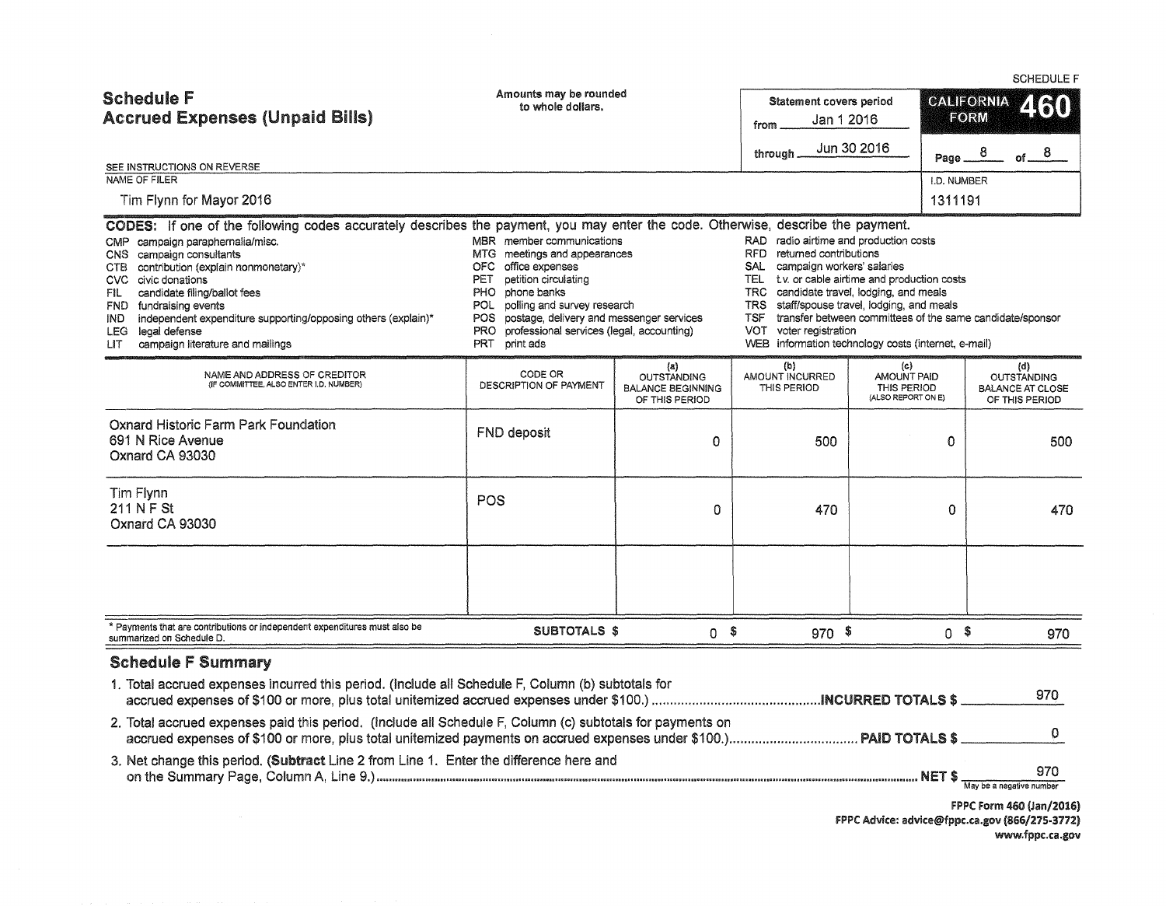|                                                                                                                                                                                                                                                                                                                                                   |                                                                                                                                                                                                                                                                                                                                                                                                                                                                                                                                                                                                                                                                                                                                                                                                                                                                |                                                                         |                                               |                                                         |                           |                                                                        | <b>SCHEDULE F</b> |
|---------------------------------------------------------------------------------------------------------------------------------------------------------------------------------------------------------------------------------------------------------------------------------------------------------------------------------------------------|----------------------------------------------------------------------------------------------------------------------------------------------------------------------------------------------------------------------------------------------------------------------------------------------------------------------------------------------------------------------------------------------------------------------------------------------------------------------------------------------------------------------------------------------------------------------------------------------------------------------------------------------------------------------------------------------------------------------------------------------------------------------------------------------------------------------------------------------------------------|-------------------------------------------------------------------------|-----------------------------------------------|---------------------------------------------------------|---------------------------|------------------------------------------------------------------------|-------------------|
| <b>Schedule F</b><br><b>Accrued Expenses (Unpaid Bills)</b>                                                                                                                                                                                                                                                                                       | Amounts may be rounded<br>to whole dollars.                                                                                                                                                                                                                                                                                                                                                                                                                                                                                                                                                                                                                                                                                                                                                                                                                    |                                                                         | Statement covers period<br>Jan 1 2016<br>from |                                                         | <b>CALIFORNIA</b><br>FORM |                                                                        | 2130              |
|                                                                                                                                                                                                                                                                                                                                                   |                                                                                                                                                                                                                                                                                                                                                                                                                                                                                                                                                                                                                                                                                                                                                                                                                                                                |                                                                         | through                                       | Jun 30 2016                                             |                           | Page $8$ of $8$                                                        |                   |
| SEE INSTRUCTIONS ON REVERSE<br>NAME OF FILER                                                                                                                                                                                                                                                                                                      |                                                                                                                                                                                                                                                                                                                                                                                                                                                                                                                                                                                                                                                                                                                                                                                                                                                                |                                                                         |                                               |                                                         | I.D. NUMBER               |                                                                        |                   |
| Tim Flynn for Mayor 2016                                                                                                                                                                                                                                                                                                                          |                                                                                                                                                                                                                                                                                                                                                                                                                                                                                                                                                                                                                                                                                                                                                                                                                                                                |                                                                         |                                               |                                                         | 1311191                   |                                                                        |                   |
| CMP campaign paraphernalia/misc.<br>CNS campaign consultants<br>CTB contribution (explain nonmonetary)*<br>CVC civic donations<br>candidate filing/ballot fees<br>FIL .<br>FND fundraising events<br>independent expenditure supporting/opposing others (explain)*<br>IND.<br>LEG legal defense<br>campaign literature and mailings<br><b>LIT</b> | CODES: If one of the following codes accurately describes the payment, you may enter the code. Otherwise, describe the payment.<br>MBR member communications<br>RAD radio airtime and production costs<br>RFD returned contributions<br>MTG meetings and appearances<br>campaign workers' salaries<br>OFC office expenses<br>SAL<br>petition circulating<br>TEL t.v. or cable airtime and production costs<br>PET<br>TRC candidate travel, lodging, and meals<br>PHO phone banks<br>polling and survey research<br>TRS staff/spouse travel, lodging, and meals<br><b>POL</b><br>postage, delivery and messenger services<br>transfer between committees of the same candidate/sponsor<br>TSF<br>POS.<br>professional services (legal, accounting)<br>VOT voter registration<br>PRO.<br>WEB information technology costs (internet, e-mail)<br>PRT<br>print ads |                                                                         |                                               |                                                         |                           |                                                                        |                   |
| NAME AND ADDRESS OF CREDITOR<br>(IF COMMITTEE, ALSO ENTER I.D. NUMBER)                                                                                                                                                                                                                                                                            | CODE OR<br>DESCRIPTION OF PAYMENT                                                                                                                                                                                                                                                                                                                                                                                                                                                                                                                                                                                                                                                                                                                                                                                                                              | (a)<br><b>OUTSTANDING</b><br><b>BALANCE BEGINNING</b><br>OF THIS PERIOD | (b)<br>AMOUNT INCURRED<br>THIS PERIOD         | (c)<br>AMOUNT PAID<br>THIS PERIOD<br>(ALSO REPORT ON E) |                           | (d)<br><b>OUTSTANDING</b><br><b>BALANCE AT CLOSE</b><br>OF THIS PERIOD |                   |
| Oxnard Historic Farm Park Foundation<br>691 N Rice Avenue<br>Oxnard CA 93030                                                                                                                                                                                                                                                                      | FND deposit                                                                                                                                                                                                                                                                                                                                                                                                                                                                                                                                                                                                                                                                                                                                                                                                                                                    | 0                                                                       | 500                                           | $\mathbf 0$                                             |                           |                                                                        | 500               |
| Tim Flynn<br>211 N F St<br>Oxnard CA 93030                                                                                                                                                                                                                                                                                                        | <b>POS</b>                                                                                                                                                                                                                                                                                                                                                                                                                                                                                                                                                                                                                                                                                                                                                                                                                                                     | ٥                                                                       | 470                                           |                                                         | 0                         |                                                                        | 470               |
|                                                                                                                                                                                                                                                                                                                                                   |                                                                                                                                                                                                                                                                                                                                                                                                                                                                                                                                                                                                                                                                                                                                                                                                                                                                |                                                                         |                                               |                                                         |                           |                                                                        |                   |
| * Payments that are contributions or independent expenditures must also be<br>summarized on Schedule D.                                                                                                                                                                                                                                           | <b>SUBTOTALS \$</b>                                                                                                                                                                                                                                                                                                                                                                                                                                                                                                                                                                                                                                                                                                                                                                                                                                            | 0 <sup>6</sup>                                                          | $970$ \$                                      |                                                         | $0$ \$                    |                                                                        | 970               |
| <b>Schedule F Summary</b>                                                                                                                                                                                                                                                                                                                         |                                                                                                                                                                                                                                                                                                                                                                                                                                                                                                                                                                                                                                                                                                                                                                                                                                                                |                                                                         |                                               |                                                         |                           |                                                                        |                   |
| 1. Total accrued expenses incurred this period. (Include all Schedule F, Column (b) subtotals for                                                                                                                                                                                                                                                 |                                                                                                                                                                                                                                                                                                                                                                                                                                                                                                                                                                                                                                                                                                                                                                                                                                                                |                                                                         |                                               |                                                         |                           |                                                                        | 970               |
| 2. Total accrued expenses paid this period. (Include all Schedule F, Column (c) subtotals for payments on                                                                                                                                                                                                                                         |                                                                                                                                                                                                                                                                                                                                                                                                                                                                                                                                                                                                                                                                                                                                                                                                                                                                |                                                                         |                                               |                                                         |                           |                                                                        | 0                 |
| 3. Net change this period. (Subtract Line 2 from Line 1. Enter the difference here and                                                                                                                                                                                                                                                            |                                                                                                                                                                                                                                                                                                                                                                                                                                                                                                                                                                                                                                                                                                                                                                                                                                                                |                                                                         |                                               |                                                         |                           | May be a negative number                                               | 970               |
|                                                                                                                                                                                                                                                                                                                                                   |                                                                                                                                                                                                                                                                                                                                                                                                                                                                                                                                                                                                                                                                                                                                                                                                                                                                |                                                                         |                                               |                                                         |                           |                                                                        |                   |

FPPC Form 460 (Jan/2016) FPPC Advice: advice@fppc.ca.gov (866/275-3772) www.fppc.ca.gov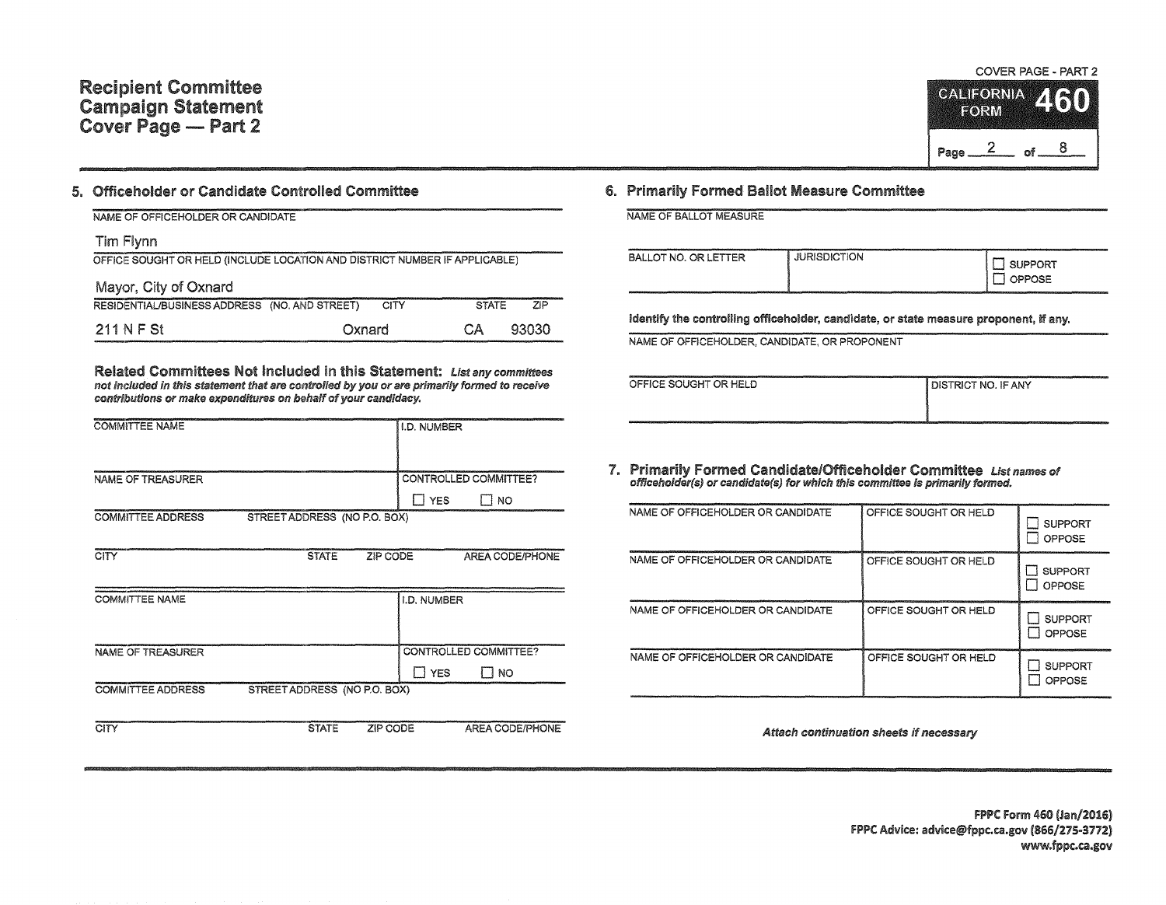## Recipient Committee Campaign Statement Cover Page - Part 2

## 5. Officeholder or Candidate Controlled Committee

| NAME OF OFFICEHOLDER OR CANDIDATE                                          |        |              |         |
|----------------------------------------------------------------------------|--------|--------------|---------|
| Tim Flynn                                                                  |        |              |         |
| OFFICE SOUGHT OR HELD (INCLUDE LOCATION AND DISTRICT NUMBER IF APPLICABLE) |        |              |         |
| Mayor, City of Oxnard                                                      |        |              |         |
| RESIDENTIAL/BUSINESS ADDRESS (NO. AND STREET)                              | CITY   | <b>STATE</b> | $7$ $P$ |
| 211 N F St                                                                 | Oxnard | CА           | 93030   |

Related Committees Not Included in this Statement: List any committees not included in this statement that are controlled *by* you or are primarily formed to receive contributions or make expenditures on behalf of your candidacy.

| <b>COMMITTEE NAME</b>    |                              | <b>I.D. NUMBER</b>    |    |
|--------------------------|------------------------------|-----------------------|----|
| NAME OF TREASURER        |                              | CONTROLLED COMMITTEE? |    |
|                          |                              | <b>YFS</b>            | NO |
| <b>COMMITTEE ADDRESS</b> | STREET ADDRESS (NO P.O. BOX) |                       |    |

| CITY                     | <b>STATE</b>                 | ZIP CODE    | <b>AREA CODE/PHONE</b>  |
|--------------------------|------------------------------|-------------|-------------------------|
| <b>COMMITTEE NAME</b>    |                              | I.D. NUMBER |                         |
| NAME OF TREASURER        |                              |             | CONTROLLED COMMITTEE?   |
| <b>COMMITTEE ADDRESS</b> | STREET ADDRESS (NO P.O. BOX) |             | <b>YES</b><br><b>NO</b> |
| CITY                     | <b>STATE</b>                 | ZIP CODE    | <b>AREA CODE/PHONE</b>  |

## 6. Primarily Formed Ballot Measure Committee

| NAME OF BALLOT MEASURE                                                                    |                     | ------------                                                                                                                                                                                                                                                                         |
|-------------------------------------------------------------------------------------------|---------------------|--------------------------------------------------------------------------------------------------------------------------------------------------------------------------------------------------------------------------------------------------------------------------------------|
| <b>BALLOT NO. OR LETTER</b><br><u>in de la constantino de la constantino de la consta</u> | <b>JURISDICTION</b> | ______________<br><b><i><u><u>APPROVEMENT</u></u></i></b><br><b>SUPPORT</b><br>OPPOSE<br>widd y Christian a cheangailte ann an coman ann an ann an<br><u>, and a series of the company of the company of the company of the company of the company of the company of the company</u> |
|                                                                                           |                     |                                                                                                                                                                                                                                                                                      |

Identify the controlling officeholder, candidate, or state measure proponent, if any.

NAME OF OFFICEHOLDER, CANDIDATE, OR PROPONENT

| OFFICE SOUGHT OR HELD | I DISTRICT NO. IF ANY |
|-----------------------|-----------------------|
|                       |                       |
|                       |                       |

1. Primarily Formed Candidate/Officeholder Committee List names of offlceholder(s) or canclidate(s) for which this committee is primarily formed.

| NAME OF OFFICEHOLDER OR CANDIDATE | OFFICE SOUGHT OR HELD | <b>SUPPORT</b><br>OPPOSE |
|-----------------------------------|-----------------------|--------------------------|
| NAME OF OFFICEHOLDER OR CANDIDATE | OFFICE SOUGHT OR HELD | <b>SUPPORT</b><br>OPPOSE |
| NAME OF OFFICEHOLDER OR CANDIDATE | OFFICE SOUGHT OR HELD | <b>SUPPORT</b><br>OPPOSE |
| NAME OF OFFICEHOLDER OR CANDIDATE | OFFICE SOUGHT OR HELD | <b>SUPPORT</b><br>OPPOSE |

Attach *ccmtinuation* sheets if *necessary* 

 $\frac{2}{9}$ 

**CALIFORNIA** 

FORM

Page  $2$  of  $8$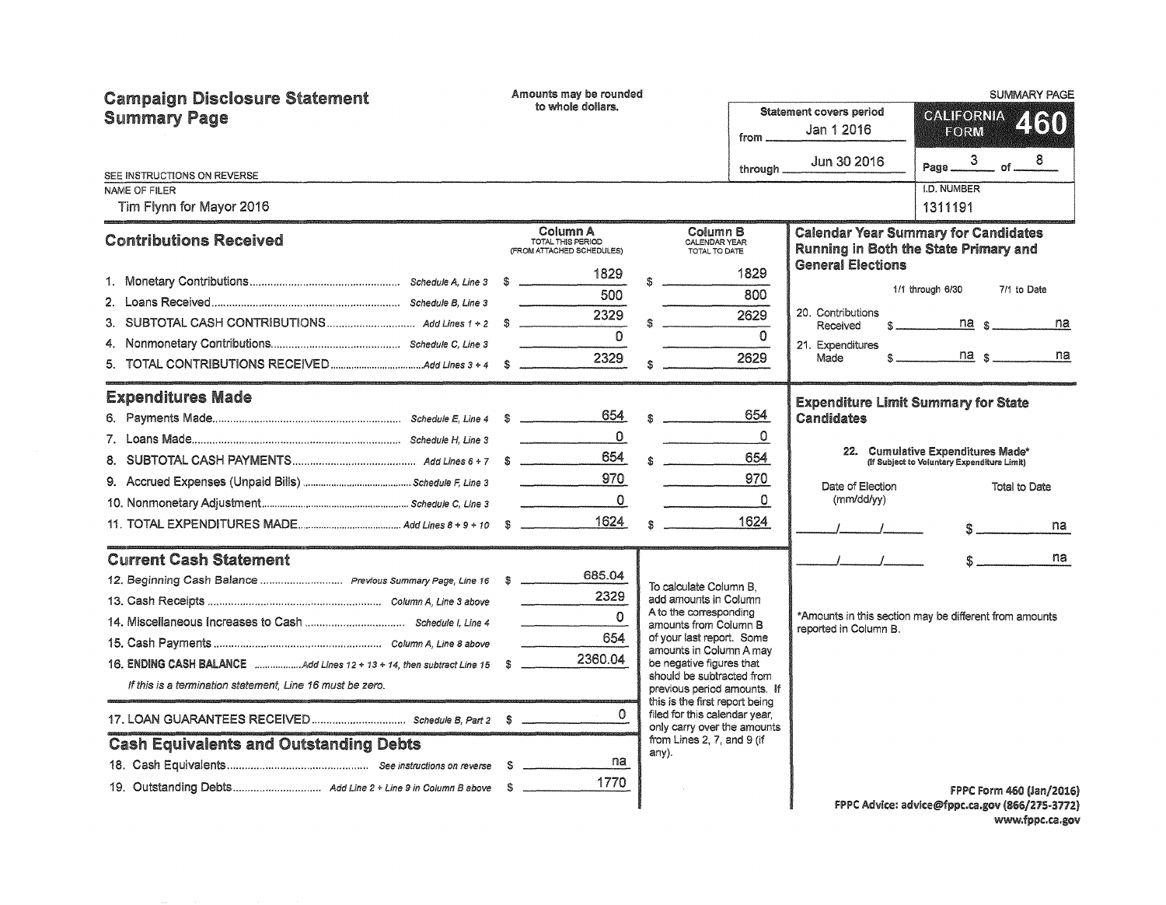| <b>Campaign Disclosure Statement</b><br><b>Summary Page</b> |  | Amounts may be rounded<br>to whole dollars.                                                                                                                                                                                                                                                                                                                                                                                                                                                            |  |                                                               |           | Statement covers period                    | <b>SUMMARY PAGE</b>                                                                  |  |  |
|-------------------------------------------------------------|--|--------------------------------------------------------------------------------------------------------------------------------------------------------------------------------------------------------------------------------------------------------------------------------------------------------------------------------------------------------------------------------------------------------------------------------------------------------------------------------------------------------|--|---------------------------------------------------------------|-----------|--------------------------------------------|--------------------------------------------------------------------------------------|--|--|
|                                                             |  |                                                                                                                                                                                                                                                                                                                                                                                                                                                                                                        |  |                                                               | from ____ | Jan 1 2016                                 | GALIFORNIA 460<br>$E$ oir $W$                                                        |  |  |
| SEE INSTRUCTIONS ON REVERSE                                 |  |                                                                                                                                                                                                                                                                                                                                                                                                                                                                                                        |  |                                                               | through.  | Jun 30 2016                                | 8<br>3<br>of<br>Page                                                                 |  |  |
| NAME OF FILER                                               |  |                                                                                                                                                                                                                                                                                                                                                                                                                                                                                                        |  |                                                               |           |                                            | <b>I.D. NUMBER</b>                                                                   |  |  |
| Tim Flynn for Mayor 2016                                    |  |                                                                                                                                                                                                                                                                                                                                                                                                                                                                                                        |  |                                                               |           |                                            | 1311191                                                                              |  |  |
| <b>Contributions Received</b>                               |  | Column A<br>TOTAL THIS PERIOD<br>(FROM ATTACHED SCHEDULES)                                                                                                                                                                                                                                                                                                                                                                                                                                             |  | Column B<br>CALENDAR YEAR<br>TOTAL TO DATE                    |           |                                            | <b>Calendar Year Summary for Candidates</b><br>Running in Both the State Primary and |  |  |
|                                                             |  | 1829                                                                                                                                                                                                                                                                                                                                                                                                                                                                                                   |  |                                                               | 1829      | <b>General Elections</b>                   | 1/1 through 6/30<br>7/1 to Date                                                      |  |  |
|                                                             |  | 500                                                                                                                                                                                                                                                                                                                                                                                                                                                                                                    |  |                                                               | 800       |                                            |                                                                                      |  |  |
|                                                             |  | 2329                                                                                                                                                                                                                                                                                                                                                                                                                                                                                                   |  |                                                               | 2629      | 20. Contributions<br>Received              | na <sub>s</sub><br>na<br>$S_{\text{max}}$ and $S_{\text{max}}$                       |  |  |
|                                                             |  | $\Omega$                                                                                                                                                                                                                                                                                                                                                                                                                                                                                               |  |                                                               | $\Omega$  | 21. Expenditures                           |                                                                                      |  |  |
|                                                             |  | 2329                                                                                                                                                                                                                                                                                                                                                                                                                                                                                                   |  |                                                               | 2629      | Made                                       | $na_s$<br>na<br>$\mathbf{S}$ and the state of $\mathbf{S}$                           |  |  |
|                                                             |  |                                                                                                                                                                                                                                                                                                                                                                                                                                                                                                        |  |                                                               |           |                                            |                                                                                      |  |  |
| <b>Expenditures Made</b>                                    |  |                                                                                                                                                                                                                                                                                                                                                                                                                                                                                                        |  |                                                               |           | <b>Expenditure Limit Summary for State</b> |                                                                                      |  |  |
|                                                             |  | 654                                                                                                                                                                                                                                                                                                                                                                                                                                                                                                    |  | $\hat{\mathbf{x}}$                                            | 654       | Candidates                                 |                                                                                      |  |  |
|                                                             |  | $\mathbf{0}$<br>$\label{eq:2.1} \frac{1}{2} \int_{\mathbb{R}^3} \frac{1}{2} \left( \frac{1}{2} \int_{\mathbb{R}^3} \frac{1}{2} \left( \frac{1}{2} \int_{\mathbb{R}^3} \frac{1}{2} \right) \frac{1}{2} \right) \, d\mathcal{H}$                                                                                                                                                                                                                                                                         |  |                                                               | $\Omega$  |                                            |                                                                                      |  |  |
|                                                             |  | 654                                                                                                                                                                                                                                                                                                                                                                                                                                                                                                    |  |                                                               | 654       |                                            | 22. Cumulative Expenditures Made*<br>(If Subject to Voluntary Expenditure Limit)     |  |  |
|                                                             |  | 970<br>$\label{eq:1} \begin{split} \mathcal{L}_{\text{max}}(\mathcal{L}_{\text{max}},\mathcal{L}_{\text{max}},\mathcal{L}_{\text{max}}) = \mathcal{L}_{\text{max}}(\mathcal{L}_{\text{max}},\mathcal{L}_{\text{max}}) \end{split}$                                                                                                                                                                                                                                                                     |  |                                                               | 970       | Date of Election                           | Total to Date                                                                        |  |  |
|                                                             |  | $\mathbf{0}$<br>$\begin{array}{cccccccccccccc} \multicolumn{2}{c}{} & \multicolumn{2}{c}{} & \multicolumn{2}{c}{} & \multicolumn{2}{c}{} & \multicolumn{2}{c}{} & \multicolumn{2}{c}{} & \multicolumn{2}{c}{} & \multicolumn{2}{c}{} & \multicolumn{2}{c}{} & \multicolumn{2}{c}{} & \multicolumn{2}{c}{} & \multicolumn{2}{c}{} & \multicolumn{2}{c}{} & \multicolumn{2}{c}{} & \multicolumn{2}{c}{} & \multicolumn{2}{c}{} & \multicolumn{2}{c}{} & \multicolumn{2}{c}{} & \multicolumn{2}{c}{} & \$ |  |                                                               | 0         | (mm/dd/vv)                                 |                                                                                      |  |  |
|                                                             |  | 1624                                                                                                                                                                                                                                                                                                                                                                                                                                                                                                   |  |                                                               | 1624      |                                            | na<br>$\sim$                                                                         |  |  |
| <b>Current Cash Statement</b>                               |  |                                                                                                                                                                                                                                                                                                                                                                                                                                                                                                        |  |                                                               |           | $\mathcal{L} = \mathcal{L}$                | na<br>$\mathbf{S}$ and the set of $\mathbf{S}$                                       |  |  |
|                                                             |  | 685.04                                                                                                                                                                                                                                                                                                                                                                                                                                                                                                 |  |                                                               |           |                                            |                                                                                      |  |  |
|                                                             |  | 2329                                                                                                                                                                                                                                                                                                                                                                                                                                                                                                   |  | To calculate Column B.<br>add amounts in Column               |           |                                            |                                                                                      |  |  |
|                                                             |  | $\Omega$                                                                                                                                                                                                                                                                                                                                                                                                                                                                                               |  | A to the corresponding<br>amounts from Column B               |           |                                            | *Amounts in this section may be different from amounts                               |  |  |
|                                                             |  | 654                                                                                                                                                                                                                                                                                                                                                                                                                                                                                                    |  | of your last report. Some                                     |           | reported in Column B.                      |                                                                                      |  |  |
|                                                             |  | 2360.04                                                                                                                                                                                                                                                                                                                                                                                                                                                                                                |  | amounts in Column A may<br>be negative figures that           |           |                                            |                                                                                      |  |  |
| If this is a termination statement, Line 16 must be zero.   |  |                                                                                                                                                                                                                                                                                                                                                                                                                                                                                                        |  | should be subtracted from                                     |           |                                            |                                                                                      |  |  |
|                                                             |  |                                                                                                                                                                                                                                                                                                                                                                                                                                                                                                        |  | previous period amounts. If<br>this is the first report being |           |                                            |                                                                                      |  |  |
|                                                             |  | $\Omega$                                                                                                                                                                                                                                                                                                                                                                                                                                                                                               |  | filed for this calendar year.<br>only carry over the amounts  |           |                                            |                                                                                      |  |  |
| <b>Cash Equivalents and Outstanding Debts</b>               |  |                                                                                                                                                                                                                                                                                                                                                                                                                                                                                                        |  | from Lines 2, 7, and 9 (if<br>any).                           |           |                                            |                                                                                      |  |  |
|                                                             |  | na                                                                                                                                                                                                                                                                                                                                                                                                                                                                                                     |  |                                                               |           |                                            |                                                                                      |  |  |
|                                                             |  | 1770                                                                                                                                                                                                                                                                                                                                                                                                                                                                                                   |  |                                                               |           |                                            | FPPC Form 460 (Jan/2016)                                                             |  |  |
|                                                             |  |                                                                                                                                                                                                                                                                                                                                                                                                                                                                                                        |  |                                                               |           |                                            | FPPC Advice: advice@fppc.ca.gov (866/275-3772)                                       |  |  |

www.fppc.ca.gov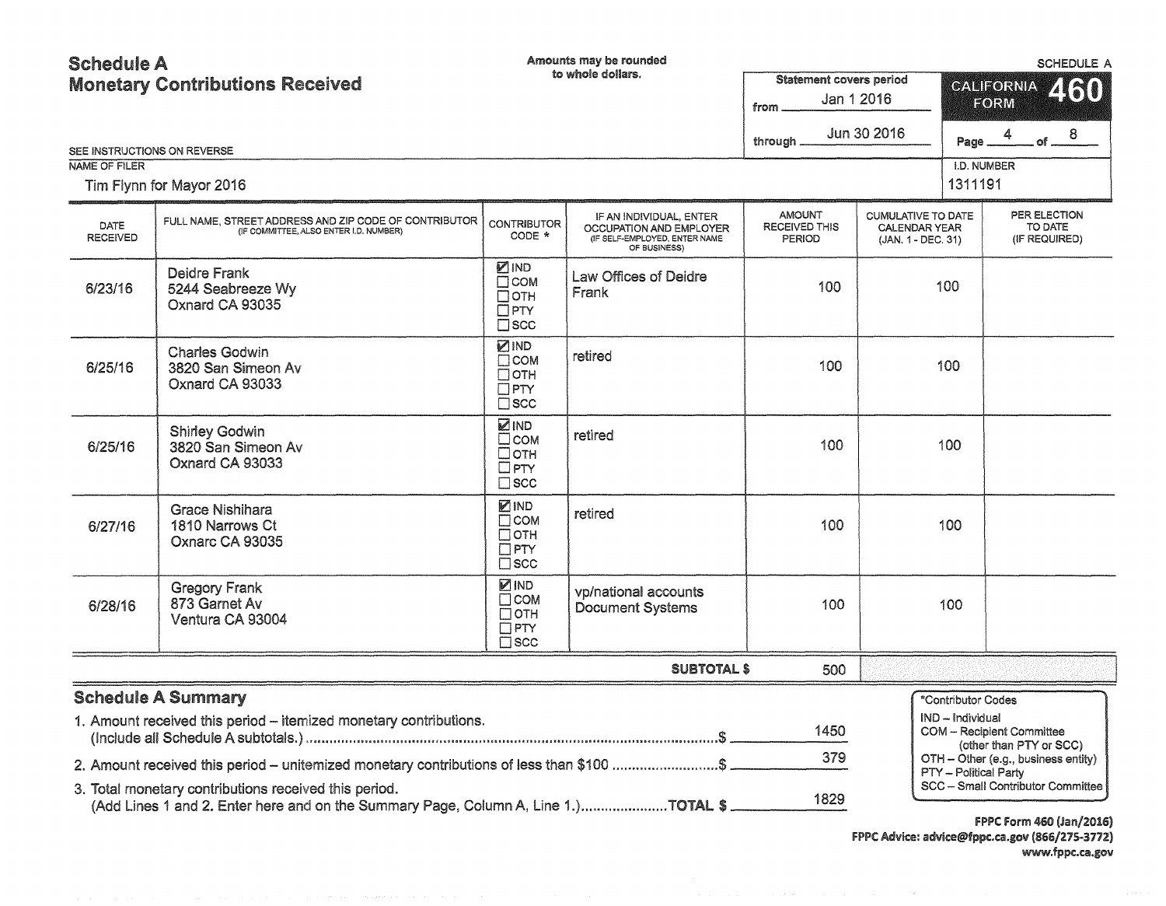## Schedule A Monetary Contributions Received

Amounts may be rounded

SCHEDULE A

| SEE INSTRUCTIONS ON REVERSE | <b>Monetary Contributions Received</b>                                                                                                      |                                                                        | to whole dollars.                                                                                   | <b>Statement covers period</b><br>Jan 1 2016<br>from<br>Jun 30 2016<br>through _ |                                                                         | <b>CALIFORNIA</b><br>460<br><b>FORM</b><br>$.$ of $ 8$<br>$4\overline{ }$<br>Page _ |
|-----------------------------|---------------------------------------------------------------------------------------------------------------------------------------------|------------------------------------------------------------------------|-----------------------------------------------------------------------------------------------------|----------------------------------------------------------------------------------|-------------------------------------------------------------------------|-------------------------------------------------------------------------------------|
| NAME OF FILER               |                                                                                                                                             |                                                                        |                                                                                                     |                                                                                  |                                                                         | I.D. NUMBER                                                                         |
|                             | Tim Flynn for Mayor 2016                                                                                                                    |                                                                        |                                                                                                     |                                                                                  |                                                                         | 1311191                                                                             |
| DATE<br><b>RECEIVED</b>     | FULL NAME, STREET ADDRESS AND ZIP CODE OF CONTRIBUTOR<br>(IF COMMITTEE, ALSO ENTER I.D. NUMBER)                                             | <b>CONTRIBUTOR</b><br>CODE *                                           | IF AN INDIVIDUAL, ENTER<br>OCCUPATION AND EMPLOYER<br>(IF SELF-EMPLOYED, ENTER NAME<br>OF BUSINESS) | <b>AMOUNT</b><br><b>RECEIVED THIS</b><br><b>PERIOD</b>                           | <b>CUMULATIVE TO DATE</b><br><b>CALENDAR YEAR</b><br>(JAN. 1 - DEC. 31) | PER ELECTION<br>TO DATE<br>(IF REQUIRED)                                            |
| 6/23/16                     | Deidre Frank<br>5244 Seabreeze Wy<br>Oxnard CA 93035                                                                                        | ☑IND<br>$\Box$ COM<br>Потн<br>$\Box$ PTY<br>$\square$ scc              | Law Offices of Deidre<br>Frank                                                                      | 100                                                                              | 100                                                                     |                                                                                     |
| 6/25/16                     | <b>Charles Godwin</b><br>3820 San Simeon Av<br>Oxnard CA 93033                                                                              | <b>ZIND</b><br>$\Box$ COM<br>$\Box$ OTH<br>$\Box$ PTY<br>$\square$ scc | retired                                                                                             | 100                                                                              | 100                                                                     |                                                                                     |
| 6/25/16                     | <b>Shirley Godwin</b><br>3820 San Simeon Av<br>Oxnard CA 93033                                                                              | <b>ZIND</b><br>$\square$ COM<br>□отн<br>$\Box$ PTY<br>$\square$ scc    | retired                                                                                             | 100                                                                              | 100                                                                     |                                                                                     |
| 6/27/16                     | <b>Grace Nishihara</b><br>1810 Narrows Ct<br>Oxnarc CA 93035                                                                                | ☑IND<br>$\Box$ COM<br>$\Box$ OTH<br>$\Box$ PTY<br>$\square$ scc        | retired                                                                                             | 100                                                                              | 100                                                                     |                                                                                     |
| 6/28/16                     | <b>Gregory Frank</b><br>873 Garnet Av<br>Ventura CA 93004                                                                                   | ☑IND<br>Псом<br>$\Box$ OTH<br>$\square$ PTY<br>$\Box$ SCC              | vp/national accounts<br>Document Systems                                                            | 100                                                                              | 100                                                                     |                                                                                     |
|                             |                                                                                                                                             |                                                                        | <b>SUBTOTAL \$</b>                                                                                  | 500                                                                              |                                                                         |                                                                                     |
|                             | <b>Schedule A Summary</b><br>1. Amount received this period - itemized monetary contributions.                                              |                                                                        |                                                                                                     | 1450                                                                             | *Contributor Codes<br>IND - Individual                                  | COM - Recipient Committee<br>(other than PTY or SCC)                                |
|                             | 2. Amount received this period - unitemized monetary contributions of less than \$100 \$                                                    |                                                                        |                                                                                                     | 379                                                                              |                                                                         | OTH - Other (e.g., business entity)                                                 |
|                             | 3. Total monetary contributions received this period.<br>(Add Lines 1 and 2. Enter here and on the Summary Page, Column A, Line 1.)TOTAL \$ |                                                                        |                                                                                                     | 1829                                                                             |                                                                         | PTY - Political Party<br>SCC - Small Contributor Committee                          |

**FPPC Form 460 (Jan/2016)** f PPC Advice: advlce@fppc.ca.gov (866/215-3772) www.fppc.ca.gov

 $\sim$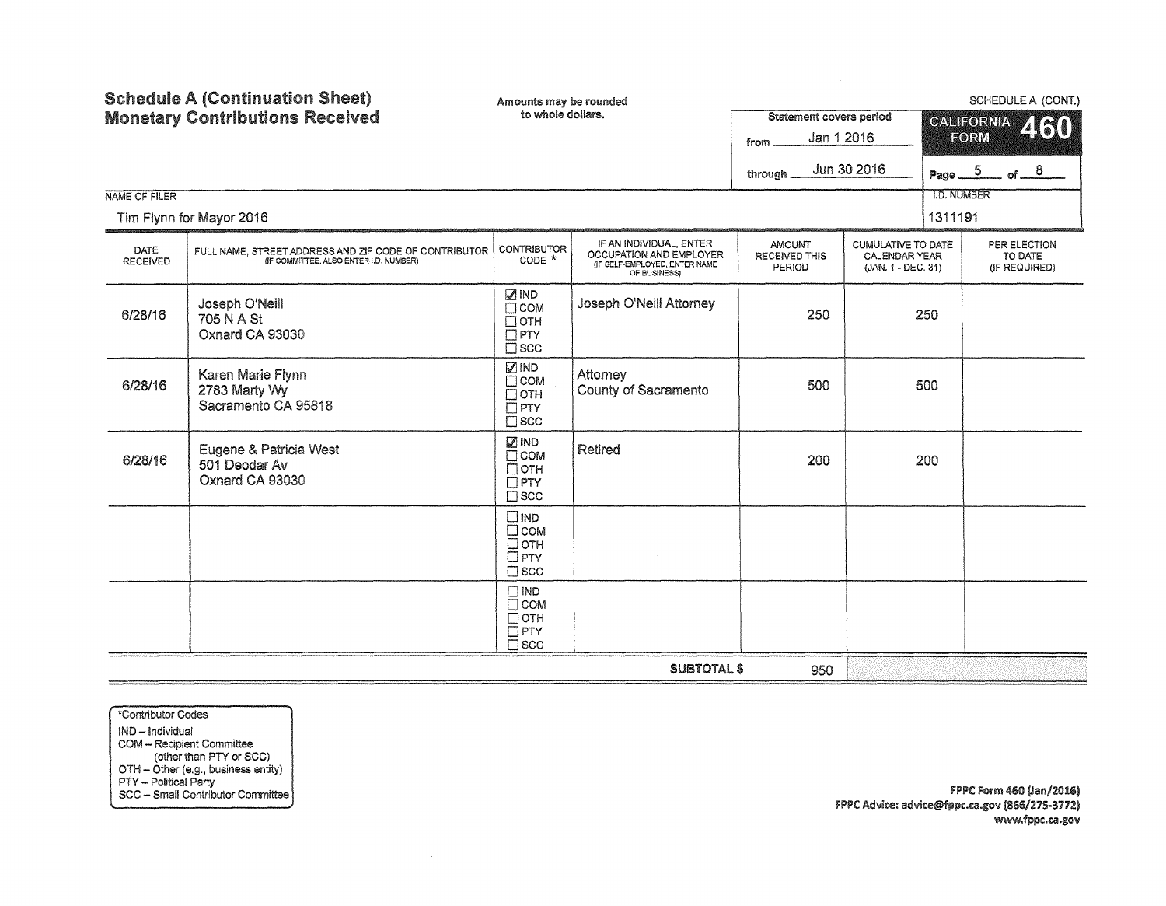| <b>Schedule A (Continuation Sheet)</b> |                                                                                                 | Amounts may be rounded<br>to whole dollars.                                 |                                                                                                     |                                          | SCHEDULE A (CONT.)                                               |                                                |  |                                          |  |  |  |
|----------------------------------------|-------------------------------------------------------------------------------------------------|-----------------------------------------------------------------------------|-----------------------------------------------------------------------------------------------------|------------------------------------------|------------------------------------------------------------------|------------------------------------------------|--|------------------------------------------|--|--|--|
|                                        | <b>Monetary Contributions Received</b>                                                          |                                                                             | <b>Statement covers period</b><br>Jan 1 2016<br>from.                                               | <b>CALIFORNIA</b><br>460<br>EORM         |                                                                  |                                                |  |                                          |  |  |  |
|                                        |                                                                                                 |                                                                             |                                                                                                     | through                                  | Jun 30 2016                                                      | Page $\underline{\hspace{1em}\phantom{1}}^{5}$ |  | of $8$                                   |  |  |  |
| NAME OF FILER                          | Tim Flynn for Mayor 2016                                                                        |                                                                             |                                                                                                     |                                          |                                                                  | <b>I.D. NUMBER</b><br>1311191                  |  |                                          |  |  |  |
| DATE<br><b>RECEIVED</b>                | FULL NAME, STREET ADDRESS AND ZIP CODE OF CONTRIBUTOR<br>(IF COMMITTEE, ALSO ENTER I.D. NUMBER) | <b>CONTRIBUTOR</b><br>CODE *                                                | IF AN INDIVIDUAL, ENTER<br>OCCUPATION AND EMPLOYER<br>(IF SELF-EMPLOYED, ENTER NAME<br>OF BUSINESS) | <b>AMOUNT</b><br>RECEIVED THIS<br>PERIOD | <b>CUMULATIVE TO DATE</b><br>CALENDAR YEAR<br>(JAN. 1 - DEC. 31) |                                                |  | PER ELECTION<br>TO DATE<br>(IF REQUIRED) |  |  |  |
| 6/28/16                                | Joseph O'Neill<br>705 N A St<br>Oxnard CA 93030                                                 | <b>ØIND</b><br>$\Box$ COM<br>$\Box$ OTH<br>$\Box$ PTY<br>$\Box$ SCC         | Joseph O'Neill Attorney                                                                             | 250                                      | 250                                                              |                                                |  |                                          |  |  |  |
| 6/28/16                                | Karen Marie Flynn<br>2783 Marty Wy<br>Sacramento CA 95818                                       | <b>⊠</b> IND<br>$\Box$ COM<br>$\Box$ OTH<br>$\Box$ PTY<br>$\square$ scc     | Attorney<br>County of Sacramento                                                                    | 500                                      |                                                                  | 500                                            |  |                                          |  |  |  |
| 6/28/16                                | Eugene & Patricia West<br>501 Deodar Av<br>Oxnard CA 93030                                      | <b>⊠</b> IND<br>$\Box$ COM<br>□отн<br>$\Box$ PTY<br>$\square$ scc           | Retired                                                                                             | 200                                      |                                                                  | 200                                            |  |                                          |  |  |  |
|                                        |                                                                                                 | $\square$ IND<br>$\square$ COM<br>$\Box$ OTH<br>$\Box$ PTY<br>$\square$ scc |                                                                                                     |                                          |                                                                  |                                                |  |                                          |  |  |  |
|                                        |                                                                                                 | $\square$ IND<br>$\Box$ COM<br>$\Box$ OTH<br>$\Box$ PTY<br>$\square$ scc    |                                                                                                     |                                          |                                                                  |                                                |  |                                          |  |  |  |
|                                        |                                                                                                 |                                                                             | <b>SUBTOTAL \$</b>                                                                                  | 950                                      |                                                                  |                                                |  |                                          |  |  |  |

\*Contributor Codes IND - Individual COM - Recipient Committee (other than PTY or SCC) OTH - Other (e.g., business entity) PTY - Political Party SCC - Small Contributor Committee

FPPC Form 460 (Jan/2016) FPPC Advice: advice@fppc.ca.gov (866/275-3772) www.fppc.ca.gov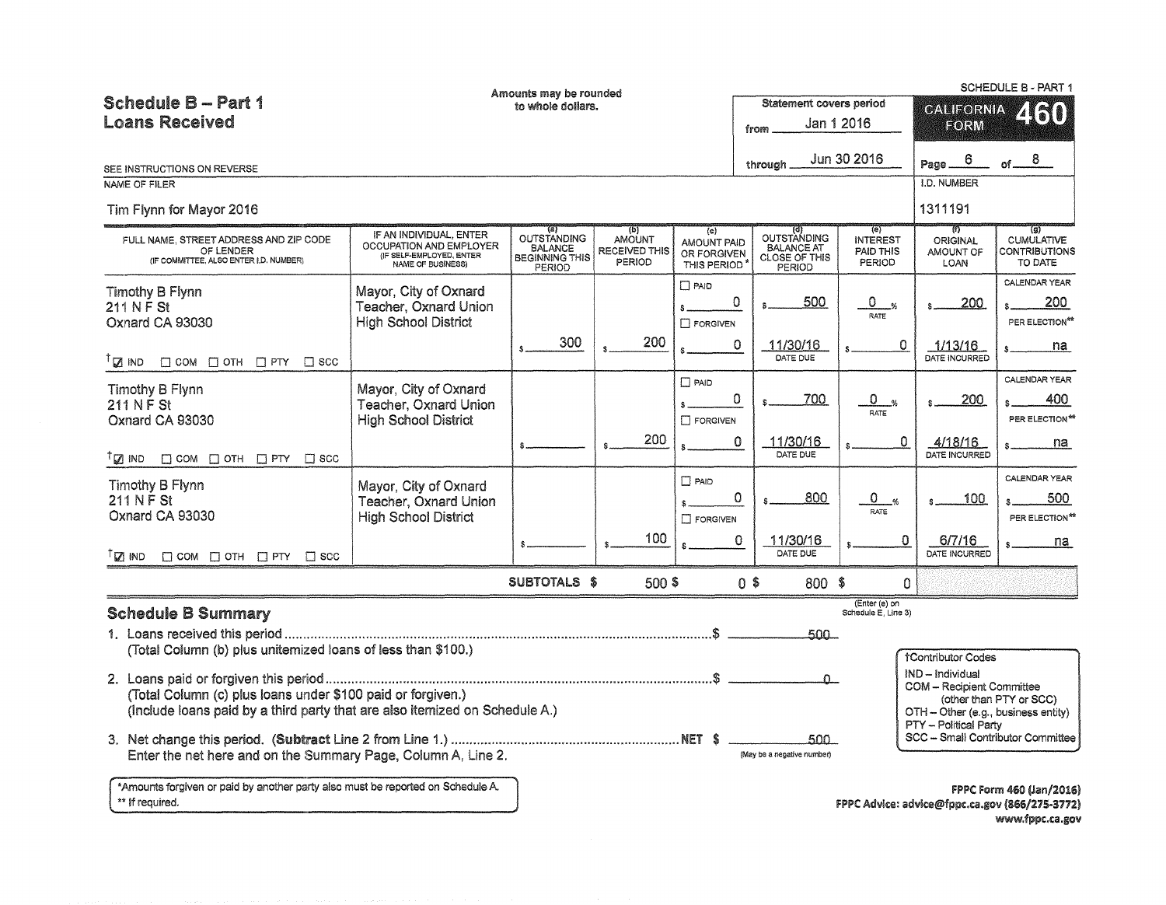|                                                                                                                                                                                                                                                                             |                                                                                                     | Amounts may be rounded                                                  |                                                 |                                                  |                                                                    |                                               |                                                                                                                                                          | <b>SCHEDULE B - PART 1</b>                                                 |  |  |
|-----------------------------------------------------------------------------------------------------------------------------------------------------------------------------------------------------------------------------------------------------------------------------|-----------------------------------------------------------------------------------------------------|-------------------------------------------------------------------------|-------------------------------------------------|--------------------------------------------------|--------------------------------------------------------------------|-----------------------------------------------|----------------------------------------------------------------------------------------------------------------------------------------------------------|----------------------------------------------------------------------------|--|--|
| <b>Schedule B - Part 1</b>                                                                                                                                                                                                                                                  |                                                                                                     | to whole dollars.                                                       |                                                 |                                                  |                                                                    | Statement covers period                       | <b>CALIFORNIA</b>                                                                                                                                        | <b>ZKKI</b>                                                                |  |  |
| <b>Loans Received</b>                                                                                                                                                                                                                                                       | Jan 1 2016<br>from                                                                                  |                                                                         |                                                 |                                                  |                                                                    |                                               | EORM                                                                                                                                                     |                                                                            |  |  |
| SEE INSTRUCTIONS ON REVERSE                                                                                                                                                                                                                                                 |                                                                                                     |                                                                         |                                                 |                                                  | through                                                            | Jun 30 2016                                   | 6<br>Page.                                                                                                                                               | 8.                                                                         |  |  |
| <b>NAME OF FILER</b>                                                                                                                                                                                                                                                        |                                                                                                     |                                                                         |                                                 |                                                  |                                                                    |                                               | <b>I.D. NUMBER</b>                                                                                                                                       |                                                                            |  |  |
| Tim Flynn for Mayor 2016                                                                                                                                                                                                                                                    |                                                                                                     |                                                                         |                                                 |                                                  |                                                                    |                                               | 1311191                                                                                                                                                  |                                                                            |  |  |
| FULL NAME, STREET ADDRESS AND ZIP CODE<br>OF LENDER<br>(IF COMMITTEE, ALSO ENTER I,D. NUMBER)                                                                                                                                                                               | IF AN INDIVIDUAL, ENTER<br>OCCUPATION AND EMPLOYER<br>(IF SELF-EMPLOYED, ENTER<br>NAME OF BUSINESS) | (a)<br>OUTSTANDING<br><b>BALANCE</b><br><b>BEGINNING THIS</b><br>PERIOD | (b)<br><b>AMOUNT</b><br>RECEIVED THIS<br>PERIOD | (c)<br>AMOUNT PAID<br>OR FORGIVEN<br>THIS PERIOD | OUTSTANDING<br><b>BALANCE AT</b><br><b>CLOSE OF THIS</b><br>PERIOD | (e)<br><b>INTEREST</b><br>PAID THIS<br>PERIOD | ত্য<br><b>ORIGINAL</b><br>AMOUNT OF<br>LOAN                                                                                                              | ত্ৰা<br><b>CUMULATIVE</b><br><b>CONTRIBUTIONS</b><br>TO DATE               |  |  |
| Timothy B Flynn<br>211 N F St<br>Oxnard CA 93030                                                                                                                                                                                                                            | Mayor, City of Oxnard<br><b>Teacher, Oxnard Union</b><br><b>High School District</b>                |                                                                         |                                                 | $\square$ PAID<br>Ŝ.<br><b>T</b> FORGIVEN        | 500<br>0                                                           | 0.<br>RATE                                    | .200                                                                                                                                                     | CALENDAR YEAR<br>200.<br>PER ELECTION**                                    |  |  |
| $\mathbb{T} \boxtimes \mathbb{R}$ ind<br>$\Box$ COM $\Box$ OTH $\Box$ PTY<br>$\Box$ scc                                                                                                                                                                                     |                                                                                                     | 300                                                                     | 200                                             |                                                  | $\Omega$<br>11/30/16<br>DATE DUE                                   | 0                                             | 1/13/16<br>DATE INCURRED                                                                                                                                 | na                                                                         |  |  |
| Timothy B Flynn<br>211 N F St<br>Oxnard CA 93030<br>$T_{\Box}$ ind<br>$\Box$ COM $\Box$ OTH $\Box$ PTY<br>$\Box$ scc                                                                                                                                                        | Mayor, City of Oxnard<br>Teacher, Oxnard Union<br><b>High School District</b>                       |                                                                         | 200                                             | $\Box$ PAID<br>Ŝ.<br><b>T</b> FORGIVEN           | 0<br>700<br>11/30/16<br>0<br>DATE DUE                              | 0.<br>RATE<br>0                               | 200<br>4/18/16<br>DATE INCURRED                                                                                                                          | CALENDAR YEAR<br>400<br>PER ELECTION**<br>na                               |  |  |
| <b>Timothy B Flynn</b><br>211 N F St<br>Oxnard CA 93030                                                                                                                                                                                                                     | Mayor, City of Oxnard<br>Teacher, Oxnard Union<br><b>High School District</b>                       |                                                                         | 100                                             | $\Box$ PAID<br>\$.<br>$\Box$ FORGIVEN            | 0<br>800<br>$\Omega$<br>11/30/16                                   | 0<br>$\frac{d}{dx}$<br><b>RATE</b><br>0       | 100<br>6/7/16                                                                                                                                            | CALENDAR YEAR<br>500<br>PER ELECTION <sup>**</sup><br>na                   |  |  |
| $T_{\square}$ ind<br>$\Box$ COM $\Box$ OTH $\Box$ PTY<br>$\Box$ scc                                                                                                                                                                                                         |                                                                                                     |                                                                         |                                                 |                                                  | DATE DUE                                                           |                                               | DATE INCURRED                                                                                                                                            |                                                                            |  |  |
|                                                                                                                                                                                                                                                                             |                                                                                                     | SUBTOTALS \$                                                            | 500 \$                                          |                                                  | 0\$                                                                | 800 \$<br>0                                   |                                                                                                                                                          |                                                                            |  |  |
| <b>Schedule B Summary</b>                                                                                                                                                                                                                                                   |                                                                                                     |                                                                         |                                                 |                                                  |                                                                    | (Enter (e) on<br>Schedule E. Line 3)<br>500 - |                                                                                                                                                          |                                                                            |  |  |
| (Total Column (b) plus unitemized loans of less than \$100.)<br>(Total Column (c) plus loans under \$100 paid or forgiven.)<br>(Include loans paid by a third party that are also itemized on Schedule A.)<br>Enter the net here and on the Summary Page, Column A, Line 2. |                                                                                                     |                                                                         |                                                 |                                                  | (May be a negative number)                                         | $\Omega$<br>500 -                             | <b>†Contributor Codes</b><br>IND - Individual<br><b>COM</b> - Recipient Committee<br>OTH - Other (e.g., business entity)<br><b>PTY - Political Party</b> | (other than PTY or SCC)<br>SCC - Small Contributor Committee               |  |  |
| *Amounts forgiven or paid by another party also must be reported on Schedule A.<br>** If required.                                                                                                                                                                          |                                                                                                     |                                                                         |                                                 |                                                  |                                                                    |                                               |                                                                                                                                                          | FPPC Form 460 (Jan/2016)<br>FPPC Advice: advice@fppc.ca.gov (866/275-3772) |  |  |

FPPC Advice: advice@fppc.ca.gov (866/275-3772) www.fppc.ca.gov